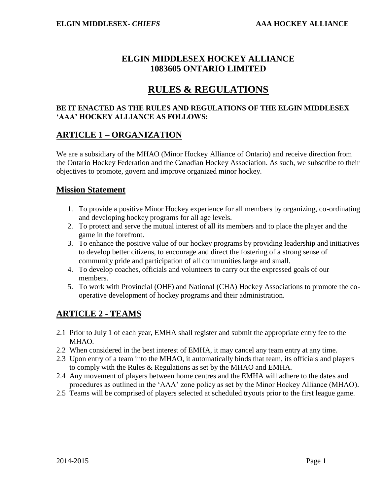## **ELGIN MIDDLESEX HOCKEY ALLIANCE 1083605 ONTARIO LIMITED**

# **RULES & REGULATIONS**

#### **BE IT ENACTED AS THE RULES AND REGULATIONS OF THE ELGIN MIDDLESEX 'AAA' HOCKEY ALLIANCE AS FOLLOWS:**

### **ARTICLE 1 – ORGANIZATION**

We are a subsidiary of the MHAO (Minor Hockey Alliance of Ontario) and receive direction from the Ontario Hockey Federation and the Canadian Hockey Association. As such, we subscribe to their objectives to promote, govern and improve organized minor hockey.

#### **Mission Statement**

- 1. To provide a positive Minor Hockey experience for all members by organizing, co-ordinating and developing hockey programs for all age levels.
- 2. To protect and serve the mutual interest of all its members and to place the player and the game in the forefront.
- 3. To enhance the positive value of our hockey programs by providing leadership and initiatives to develop better citizens, to encourage and direct the fostering of a strong sense of community pride and participation of all communities large and small.
- 4. To develop coaches, officials and volunteers to carry out the expressed goals of our members.
- 5. To work with Provincial (OHF) and National (CHA) Hockey Associations to promote the cooperative development of hockey programs and their administration.

# **ARTICLE 2 - TEAMS**

- 2.1 Prior to July 1 of each year, EMHA shall register and submit the appropriate entry fee to the MHAO.
- 2.2 When considered in the best interest of EMHA, it may cancel any team entry at any time.
- 2.3 Upon entry of a team into the MHAO, it automatically binds that team, its officials and players to comply with the Rules & Regulations as set by the MHAO and EMHA.
- 2.4 Any movement of players between home centres and the EMHA will adhere to the dates and procedures as outlined in the 'AAA' zone policy as set by the Minor Hockey Alliance (MHAO).
- 2.5 Teams will be comprised of players selected at scheduled tryouts prior to the first league game.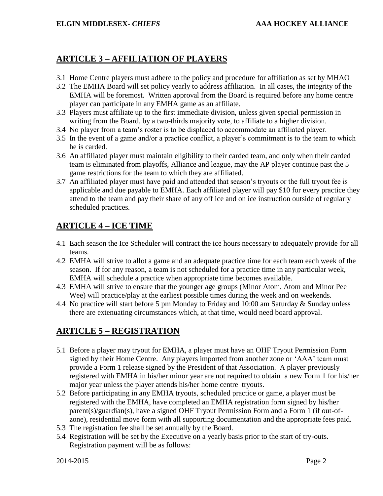## **ARTICLE 3 – AFFILIATION OF PLAYERS**

- 3.1 Home Centre players must adhere to the policy and procedure for affiliation as set by MHAO
- 3.2 The EMHA Board will set policy yearly to address affiliation. In all cases, the integrity of the EMHA will be foremost. Written approval from the Board is required before any home centre player can participate in any EMHA game as an affiliate.
- 3.3 Players must affiliate up to the first immediate division, unless given special permission in writing from the Board, by a two-thirds majority vote, to affiliate to a higher division.
- 3.4 No player from a team's roster is to be displaced to accommodate an affiliated player.
- 3.5 In the event of a game and/or a practice conflict, a player's commitment is to the team to which he is carded.
- 3.6 An affiliated player must maintain eligibility to their carded team, and only when their carded team is eliminated from playoffs, Alliance and league, may the AP player continue past the 5 game restrictions for the team to which they are affiliated.
- 3.7 An affiliated player must have paid and attended that season's tryouts or the full tryout fee is applicable and due payable to EMHA. Each affiliated player will pay \$10 for every practice they attend to the team and pay their share of any off ice and on ice instruction outside of regularly scheduled practices.

## **ARTICLE 4 – ICE TIME**

- 4.1 Each season the Ice Scheduler will contract the ice hours necessary to adequately provide for all teams.
- 4.2 EMHA will strive to allot a game and an adequate practice time for each team each week of the season. If for any reason, a team is not scheduled for a practice time in any particular week, EMHA will schedule a practice when appropriate time becomes available.
- 4.3 EMHA will strive to ensure that the younger age groups (Minor Atom, Atom and Minor Pee Wee) will practice/play at the earliest possible times during the week and on weekends.
- 4.4 No practice will start before 5 pm Monday to Friday and 10:00 am Saturday & Sunday unless there are extenuating circumstances which, at that time, would need board approval.

# **ARTICLE 5 – REGISTRATION**

- 5.1 Before a player may tryout for EMHA, a player must have an OHF Tryout Permission Form signed by their Home Centre. Any players imported from another zone or 'AAA' team must provide a Form 1 release signed by the President of that Association. A player previously registered with EMHA in his/her minor year are not required to obtain a new Form 1 for his/her major year unless the player attends his/her home centre tryouts.
- 5.2 Before participating in any EMHA tryouts, scheduled practice or game, a player must be registered with the EMHA, have completed an EMHA registration form signed by his/her parent(s)/guardian(s), have a signed OHF Tryout Permission Form and a Form 1 (if out-ofzone), residential move form with all supporting documentation and the appropriate fees paid.
- 5.3 The registration fee shall be set annually by the Board.
- 5.4 Registration will be set by the Executive on a yearly basis prior to the start of try-outs. Registration payment will be as follows: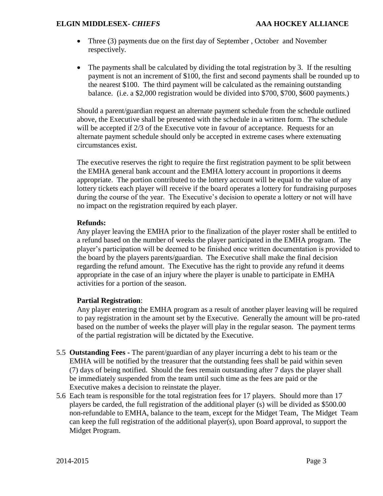- Three (3) payments due on the first day of September, October and November respectively.
- The payments shall be calculated by dividing the total registration by 3. If the resulting payment is not an increment of \$100, the first and second payments shall be rounded up to the nearest \$100. The third payment will be calculated as the remaining outstanding balance. (i.e. a \$2,000 registration would be divided into \$700, \$700, \$600 payments.)

Should a parent/guardian request an alternate payment schedule from the schedule outlined above, the Executive shall be presented with the schedule in a written form. The schedule will be accepted if 2/3 of the Executive vote in favour of acceptance. Requests for an alternate payment schedule should only be accepted in extreme cases where extenuating circumstances exist.

The executive reserves the right to require the first registration payment to be split between the EMHA general bank account and the EMHA lottery account in proportions it deems appropriate. The portion contributed to the lottery account will be equal to the value of any lottery tickets each player will receive if the board operates a lottery for fundraising purposes during the course of the year. The Executive's decision to operate a lottery or not will have no impact on the registration required by each player.

#### **Refunds:**

Any player leaving the EMHA prior to the finalization of the player roster shall be entitled to a refund based on the number of weeks the player participated in the EMHA program. The player's participation will be deemed to be finished once written documentation is provided to the board by the players parents/guardian. The Executive shall make the final decision regarding the refund amount. The Executive has the right to provide any refund it deems appropriate in the case of an injury where the player is unable to participate in EMHA activities for a portion of the season.

#### **Partial Registration**:

Any player entering the EMHA program as a result of another player leaving will be required to pay registration in the amount set by the Executive. Generally the amount will be pro-rated based on the number of weeks the player will play in the regular season. The payment terms of the partial registration will be dictated by the Executive.

- 5.5 **Outstanding Fees -** The parent/guardian of any player incurring a debt to his team or the EMHA will be notified by the treasurer that the outstanding fees shall be paid within seven (7) days of being notified. Should the fees remain outstanding after 7 days the player shall be immediately suspended from the team until such time as the fees are paid or the Executive makes a decision to reinstate the player.
- 5.6 Each team is responsible for the total registration fees for 17 players. Should more than 17 players be carded, the full registration of the additional player (s) will be divided as \$500.00 non-refundable to EMHA, balance to the team, except for the Midget Team, The Midget Team can keep the full registration of the additional player(s), upon Board approval, to support the Midget Program.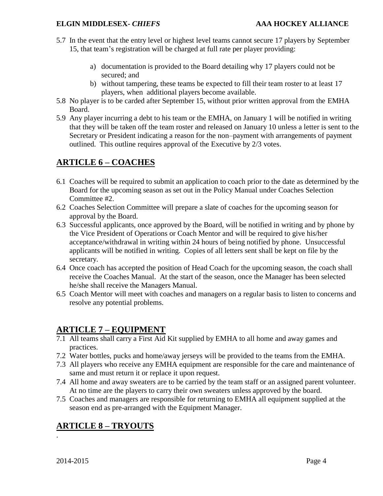- 5.7 In the event that the entry level or highest level teams cannot secure 17 players by September 15, that team's registration will be charged at full rate per player providing:
	- a) documentation is provided to the Board detailing why 17 players could not be secured; and
	- b) without tampering, these teams be expected to fill their team roster to at least 17 players, when additional players become available.
- 5.8 No player is to be carded after September 15, without prior written approval from the EMHA Board.
- 5.9 Any player incurring a debt to his team or the EMHA, on January 1 will be notified in writing that they will be taken off the team roster and released on January 10 unless a letter is sent to the Secretary or President indicating a reason for the non–payment with arrangements of payment outlined. This outline requires approval of the Executive by 2/3 votes.

# **ARTICLE 6 – COACHES**

- 6.1 Coaches will be required to submit an application to coach prior to the date as determined by the Board for the upcoming season as set out in the Policy Manual under Coaches Selection Committee #2.
- 6.2 Coaches Selection Committee will prepare a slate of coaches for the upcoming season for approval by the Board.
- 6.3 Successful applicants, once approved by the Board, will be notified in writing and by phone by the Vice President of Operations or Coach Mentor and will be required to give his/her acceptance/withdrawal in writing within 24 hours of being notified by phone. Unsuccessful applicants will be notified in writing. Copies of all letters sent shall be kept on file by the secretary.
- 6.4 Once coach has accepted the position of Head Coach for the upcoming season, the coach shall receive the Coaches Manual. At the start of the season, once the Manager has been selected he/she shall receive the Managers Manual.
- 6.5 Coach Mentor will meet with coaches and managers on a regular basis to listen to concerns and resolve any potential problems.

## **ARTICLE 7 – EQUIPMENT**

- 7.1 All teams shall carry a First Aid Kit supplied by EMHA to all home and away games and practices.
- 7.2 Water bottles, pucks and home/away jerseys will be provided to the teams from the EMHA.
- 7.3 All players who receive any EMHA equipment are responsible for the care and maintenance of same and must return it or replace it upon request.
- 7.4 All home and away sweaters are to be carried by the team staff or an assigned parent volunteer. At no time are the players to carry their own sweaters unless approved by the board.
- 7.5 Coaches and managers are responsible for returning to EMHA all equipment supplied at the season end as pre-arranged with the Equipment Manager.

# **ARTICLE 8 – TRYOUTS**

2014-2015 Page 4

.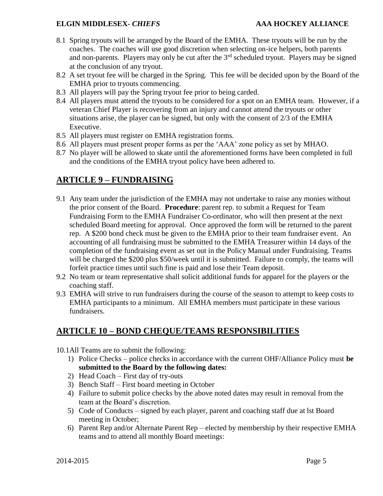- 8.1 Spring tryouts will be arranged by the Board of the EMHA. These tryouts will be run by the coaches. The coaches will use good discretion when selecting on-ice helpers, both parents and non-parents. Players may only be cut after the  $3<sup>rd</sup>$  scheduled tryout. Players may be signed at the conclusion of any tryout.
- 8.2 A set tryout fee will be charged in the Spring. This fee will be decided upon by the Board of the EMHA prior to tryouts commencing.
- 8.3 All players will pay the Spring tryout fee prior to being carded.
- 8.4 All players must attend the tryouts to be considered for a spot on an EMHA team. However, if a veteran Chief Player is recovering from an injury and cannot attend the tryouts or other situations arise, the player can be signed, but only with the consent of 2/3 of the EMHA Executive.
- 8.5 All players must register on EMHA registration forms.
- 8.6 All players must present proper forms as per the 'AAA' zone policy as set by MHAO.
- 8.7 No player will be allowed to skate until the aforementioned forms have been completed in full and the conditions of the EMHA tryout policy have been adhered to.

## **ARTICLE 9 – FUNDRAISING**

- 9.1 Any team under the jurisdiction of the EMHA may not undertake to raise any monies without the prior consent of the Board. **Procedure**: parent rep. to submit a Request for Team Fundraising Form to the EMHA Fundraiser Co-ordinator, who will then present at the next scheduled Board meeting for approval. Once approved the form will be returned to the parent rep. A \$200 bond check must be given to the EMHA prior to their team fundraiser event. An accounting of all fundraising must be submitted to the EMHA Treasurer within 14 days of the completion of the fundraising event as set out in the Policy Manual under Fundraising. Teams will be charged the \$200 plus \$50/week until it is submitted. Failure to comply, the teams will forfeit practice times until such fine is paid and lose their Team deposit.
- 9.2 No team or team representative shall solicit additional funds for apparel for the players or the coaching staff.
- 9.3 EMHA will strive to run fundraisers during the course of the season to attempt to keep costs to EMHA participants to a minimum. All EMHA members must participate in these various fundraisers.

# **ARTICLE 10 – BOND CHEQUE/TEAMS RESPONSIBILITIES**

- 10.1All Teams are to submit the following:
	- 1) Police Checks police checks in accordance with the current OHF/Alliance Policy must **be submitted to the Board by the following dates:**
	- 2) Head Coach First day of try-outs
	- 3) Bench Staff First board meeting in October
	- 4) Failure to submit police checks by the above noted dates may result in removal from the team at the Board's discretion.
	- 5) Code of Conducts signed by each player, parent and coaching staff due at lst Board meeting in October;
	- 6) Parent Rep and/or Alternate Parent Rep elected by membership by their respective EMHA teams and to attend all monthly Board meetings: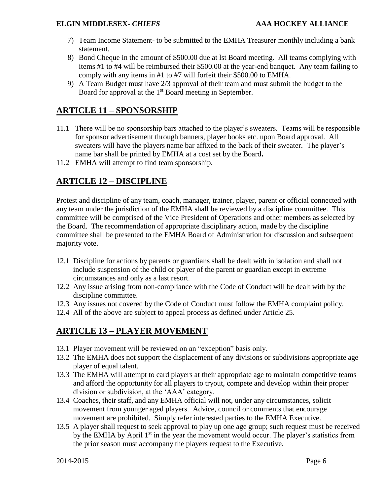- 7) Team Income Statement- to be submitted to the EMHA Treasurer monthly including a bank statement.
- 8) Bond Cheque in the amount of \$500.00 due at lst Board meeting. All teams complying with items #1 to #4 will be reimbursed their \$500.00 at the year-end banquet. Any team failing to comply with any items in #1 to #7 will forfeit their \$500.00 to EMHA.
- 9) A Team Budget must have 2/3 approval of their team and must submit the budget to the Board for approval at the 1<sup>st</sup> Board meeting in September.

## **ARTICLE 11 – SPONSORSHIP**

- 11.1 There will be no sponsorship bars attached to the player's sweaters. Teams will be responsible for sponsor advertisement through banners, player books etc. upon Board approval. All sweaters will have the players name bar affixed to the back of their sweater. The player's name bar shall be printed by EMHA at a cost set by the Board**.**
- 11.2 EMHA will attempt to find team sponsorship.

## **ARTICLE 12 – DISCIPLINE**

Protest and discipline of any team, coach, manager, trainer, player, parent or official connected with any team under the jurisdiction of the EMHA shall be reviewed by a discipline committee. This committee will be comprised of the Vice President of Operations and other members as selected by the Board. The recommendation of appropriate disciplinary action, made by the discipline committee shall be presented to the EMHA Board of Administration for discussion and subsequent majority vote.

- 12.1 Discipline for actions by parents or guardians shall be dealt with in isolation and shall not include suspension of the child or player of the parent or guardian except in extreme circumstances and only as a last resort.
- 12.2 Any issue arising from non-compliance with the Code of Conduct will be dealt with by the discipline committee.
- 12.3 Any issues not covered by the Code of Conduct must follow the EMHA complaint policy.
- 12.4 All of the above are subject to appeal process as defined under Article 25.

## **ARTICLE 13 – PLAYER MOVEMENT**

- 13.1 Player movement will be reviewed on an "exception" basis only.
- 13.2 The EMHA does not support the displacement of any divisions or subdivisions appropriate age player of equal talent.
- 13.3 The EMHA will attempt to card players at their appropriate age to maintain competitive teams and afford the opportunity for all players to tryout, compete and develop within their proper division or subdivision, at the 'AAA' category.
- 13.4 Coaches, their staff, and any EMHA official will not, under any circumstances, solicit movement from younger aged players. Advice, council or comments that encourage movement are prohibited. Simply refer interested parties to the EMHA Executive.
- 13.5 A player shall request to seek approval to play up one age group; such request must be received by the EMHA by April  $1<sup>st</sup>$  in the year the movement would occur. The player's statistics from the prior season must accompany the players request to the Executive.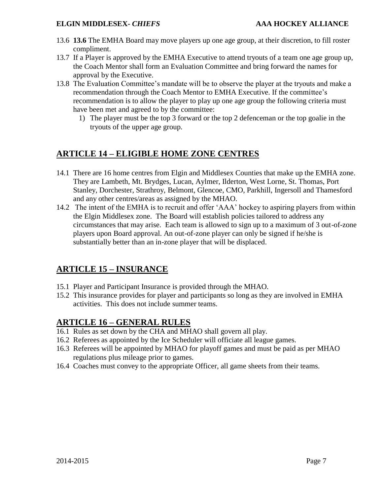- 13.6 **13.6** The EMHA Board may move players up one age group, at their discretion, to fill roster compliment.
- 13.7 If a Player is approved by the EMHA Executive to attend tryouts of a team one age group up, the Coach Mentor shall form an Evaluation Committee and bring forward the names for approval by the Executive.
- 13.8 The Evaluation Committee's mandate will be to observe the player at the tryouts and make a recommendation through the Coach Mentor to EMHA Executive. If the committee's recommendation is to allow the player to play up one age group the following criteria must have been met and agreed to by the committee:
	- 1) The player must be the top 3 forward or the top 2 defenceman or the top goalie in the tryouts of the upper age group.

# **ARTICLE 14 – ELIGIBLE HOME ZONE CENTRES**

- 14.1 There are 16 home centres from Elgin and Middlesex Counties that make up the EMHA zone. They are Lambeth, Mt. Brydges, Lucan, Aylmer, Ilderton, West Lorne, St. Thomas, Port Stanley, Dorchester, Strathroy, Belmont, Glencoe, CMO, Parkhill, Ingersoll and Thamesford and any other centres/areas as assigned by the MHAO.
- 14.2 The intent of the EMHA is to recruit and offer 'AAA' hockey to aspiring players from within the Elgin Middlesex zone. The Board will establish policies tailored to address any circumstances that may arise. Each team is allowed to sign up to a maximum of 3 out-of-zone players upon Board approval. An out-of-zone player can only be signed if he/she is substantially better than an in-zone player that will be displaced.

## **ARTICLE 15 – INSURANCE**

- 15.1 Player and Participant Insurance is provided through the MHAO.
- 15.2 This insurance provides for player and participants so long as they are involved in EMHA activities. This does not include summer teams.

### **ARTICLE 16 – GENERAL RULES**

- 16.1 Rules as set down by the CHA and MHAO shall govern all play.
- 16.2 Referees as appointed by the Ice Scheduler will officiate all league games.
- 16.3 Referees will be appointed by MHAO for playoff games and must be paid as per MHAO regulations plus mileage prior to games.
- 16.4 Coaches must convey to the appropriate Officer, all game sheets from their teams.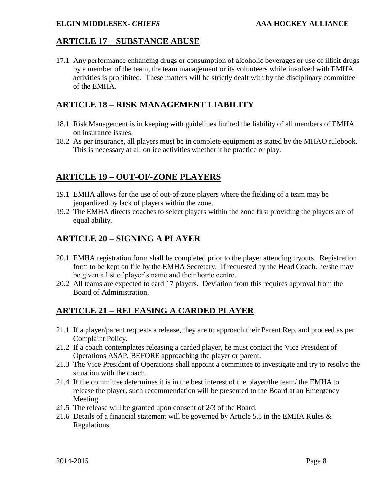#### **ARTICLE 17 – SUBSTANCE ABUSE**

17.1 Any performance enhancing drugs or consumption of alcoholic beverages or use of illicit drugs by a member of the team, the team management or its volunteers while involved with EMHA activities is prohibited. These matters will be strictly dealt with by the disciplinary committee of the EMHA.

### **ARTICLE 18 – RISK MANAGEMENT LIABILITY**

- 18.1 Risk Management is in keeping with guidelines limited the liability of all members of EMHA on insurance issues.
- 18.2 As per insurance, all players must be in complete equipment as stated by the MHAO rulebook. This is necessary at all on ice activities whether it be practice or play.

## **ARTICLE 19 – OUT-OF-ZONE PLAYERS**

- 19.1 EMHA allows for the use of out-of-zone players where the fielding of a team may be jeopardized by lack of players within the zone.
- 19.2 The EMHA directs coaches to select players within the zone first providing the players are of equal ability.

## **ARTICLE 20 – SIGNING A PLAYER**

- 20.1 EMHA registration form shall be completed prior to the player attending tryouts. Registration form to be kept on file by the EMHA Secretary. If requested by the Head Coach, he/she may be given a list of player's name and their home centre.
- 20.2 All teams are expected to card 17 players. Deviation from this requires approval from the Board of Administration.

# **ARTICLE 21 – RELEASING A CARDED PLAYER**

- 21.1 If a player/parent requests a release, they are to approach their Parent Rep. and proceed as per Complaint Policy.
- 21.2 If a coach contemplates releasing a carded player, he must contact the Vice President of Operations ASAP, BEFORE approaching the player or parent.
- 21.3 The Vice President of Operations shall appoint a committee to investigate and try to resolve the situation with the coach.
- 21.4 If the committee determines it is in the best interest of the player/the team/ the EMHA to release the player, such recommendation will be presented to the Board at an Emergency Meeting.
- 21.5 The release will be granted upon consent of 2/3 of the Board.
- 21.6 Details of a financial statement will be governed by Article 5.5 in the EMHA Rules  $\&$ Regulations.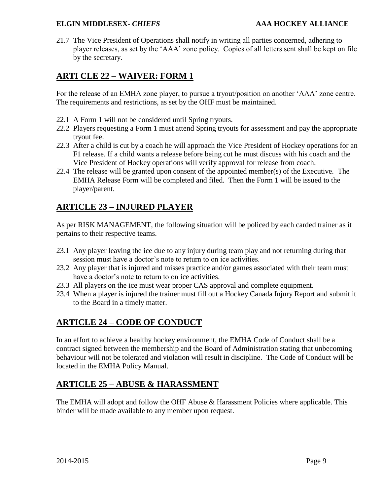21.7 The Vice President of Operations shall notify in writing all parties concerned, adhering to player releases, as set by the 'AAA' zone policy. Copies of all letters sent shall be kept on file by the secretary.

## **ARTI CLE 22 – WAIVER: FORM 1**

For the release of an EMHA zone player, to pursue a tryout/position on another 'AAA' zone centre. The requirements and restrictions, as set by the OHF must be maintained.

- 22.1 A Form 1 will not be considered until Spring tryouts.
- 22.2 Players requesting a Form 1 must attend Spring tryouts for assessment and pay the appropriate tryout fee.
- 22.3 After a child is cut by a coach he will approach the Vice President of Hockey operations for an F1 release. If a child wants a release before being cut he must discuss with his coach and the Vice President of Hockey operations will verify approval for release from coach.
- 22.4 The release will be granted upon consent of the appointed member(s) of the Executive. The EMHA Release Form will be completed and filed. Then the Form 1 will be issued to the player/parent.

# **ARTICLE 23 – INJURED PLAYER**

As per RISK MANAGEMENT, the following situation will be policed by each carded trainer as it pertains to their respective teams.

- 23.1 Any player leaving the ice due to any injury during team play and not returning during that session must have a doctor's note to return to on ice activities.
- 23.2 Any player that is injured and misses practice and/or games associated with their team must have a doctor's note to return to on ice activities.
- 23.3 All players on the ice must wear proper CAS approval and complete equipment.
- 23.4 When a player is injured the trainer must fill out a Hockey Canada Injury Report and submit it to the Board in a timely matter.

## **ARTICLE 24 – CODE OF CONDUCT**

In an effort to achieve a healthy hockey environment, the EMHA Code of Conduct shall be a contract signed between the membership and the Board of Administration stating that unbecoming behaviour will not be tolerated and violation will result in discipline. The Code of Conduct will be located in the EMHA Policy Manual.

## **ARTICLE 25 – ABUSE & HARASSMENT**

The EMHA will adopt and follow the OHF Abuse & Harassment Policies where applicable. This binder will be made available to any member upon request.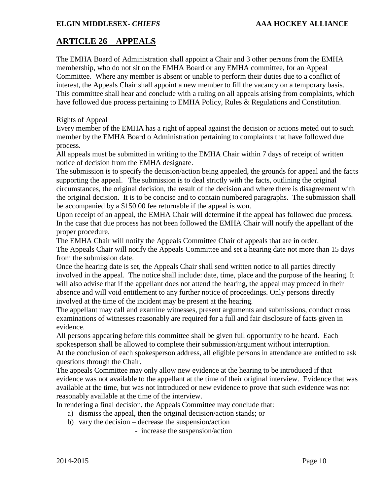# **ARTICLE 26 – APPEALS**

The EMHA Board of Administration shall appoint a Chair and 3 other persons from the EMHA membership, who do not sit on the EMHA Board or any EMHA committee, for an Appeal Committee. Where any member is absent or unable to perform their duties due to a conflict of interest, the Appeals Chair shall appoint a new member to fill the vacancy on a temporary basis. This committee shall hear and conclude with a ruling on all appeals arising from complaints, which have followed due process pertaining to EMHA Policy, Rules & Regulations and Constitution.

#### Rights of Appeal

Every member of the EMHA has a right of appeal against the decision or actions meted out to such member by the EMHA Board o Administration pertaining to complaints that have followed due process.

All appeals must be submitted in writing to the EMHA Chair within 7 days of receipt of written notice of decision from the EMHA designate.

The submission is to specify the decision/action being appealed, the grounds for appeal and the facts supporting the appeal. The submission is to deal strictly with the facts, outlining the original circumstances, the original decision, the result of the decision and where there is disagreement with the original decision. It is to be concise and to contain numbered paragraphs. The submission shall be accompanied by a \$150.00 fee returnable if the appeal is won.

Upon receipt of an appeal, the EMHA Chair will determine if the appeal has followed due process. In the case that due process has not been followed the EMHA Chair will notify the appellant of the proper procedure.

The EMHA Chair will notify the Appeals Committee Chair of appeals that are in order.

The Appeals Chair will notify the Appeals Committee and set a hearing date not more than 15 days from the submission date.

Once the hearing date is set, the Appeals Chair shall send written notice to all parties directly involved in the appeal. The notice shall include: date, time, place and the purpose of the hearing. It will also advise that if the appellant does not attend the hearing, the appeal may proceed in their absence and will void entitlement to any further notice of proceedings. Only persons directly involved at the time of the incident may be present at the hearing.

The appellant may call and examine witnesses, present arguments and submissions, conduct cross examinations of witnesses reasonably are required for a full and fair disclosure of facts given in evidence.

All persons appearing before this committee shall be given full opportunity to be heard. Each spokesperson shall be allowed to complete their submission/argument without interruption. At the conclusion of each spokesperson address, all eligible persons in attendance are entitled to ask questions through the Chair.

The appeals Committee may only allow new evidence at the hearing to be introduced if that evidence was not available to the appellant at the time of their original interview. Evidence that was available at the time, but was not introduced or new evidence to prove that such evidence was not reasonably available at the time of the interview.

In rendering a final decision, the Appeals Committee may conclude that:

- a) dismiss the appeal, then the original decision/action stands; or
- b) vary the decision decrease the suspension/action

- increase the suspension/action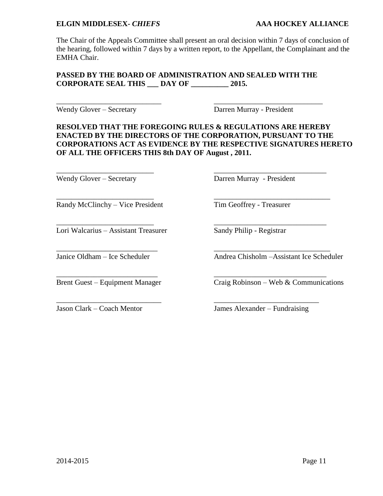The Chair of the Appeals Committee shall present an oral decision within 7 days of conclusion of the hearing, followed within 7 days by a written report, to the Appellant, the Complainant and the EMHA Chair.

#### **PASSED BY THE BOARD OF ADMINISTRATION AND SEALED WITH THE CORPORATE SEAL THIS \_\_\_ DAY OF \_\_\_\_\_\_\_\_\_\_ 2015.**

\_\_\_\_\_\_\_\_\_\_\_\_\_\_\_\_\_\_\_\_\_\_\_\_\_\_\_\_ \_\_\_\_\_\_\_\_\_\_\_\_\_\_\_\_\_\_\_\_\_\_\_\_\_\_\_\_\_

\_\_\_\_\_\_\_\_\_\_\_\_\_\_\_\_\_\_\_\_\_\_\_\_\_\_ \_\_\_\_\_\_\_\_\_\_\_\_\_\_\_\_\_\_\_\_\_\_\_\_\_\_\_\_\_\_

\_\_\_\_\_\_\_\_\_\_\_\_\_\_\_\_\_\_\_\_\_\_\_\_\_\_\_ \_\_\_\_\_\_\_\_\_\_\_\_\_\_\_\_\_\_\_\_\_\_\_\_\_\_\_\_\_\_\_

\_\_\_\_\_\_\_\_\_\_\_\_\_\_\_\_\_\_\_\_\_\_\_\_\_\_\_ \_\_\_\_\_\_\_\_\_\_\_\_\_\_\_\_\_\_\_\_\_\_\_\_\_\_\_\_\_\_

\_\_\_\_\_\_\_\_\_\_\_\_\_\_\_\_\_\_\_\_\_\_\_\_\_\_\_\_ \_\_\_\_\_\_\_\_\_\_\_\_\_\_\_\_\_\_\_\_\_\_\_\_\_\_\_\_

Randy McClinchy – Vice President Tim Geoffrey - Treasurer

Wendy Glover – Secretary Darren Murray - President

#### **RESOLVED THAT THE FOREGOING RULES & REGULATIONS ARE HEREBY ENACTED BY THE DIRECTORS OF THE CORPORATION, PURSUANT TO THE CORPORATIONS ACT AS EVIDENCE BY THE RESPECTIVE SIGNATURES HERETO OF ALL THE OFFICERS THIS 8th DAY OF August , 2011.**

Wendy Glover – Secretary Darren Murray - President

\_\_\_\_\_\_\_\_\_\_\_\_\_\_\_\_\_\_\_\_\_\_\_\_\_\_ \_\_\_\_\_\_\_\_\_\_\_\_\_\_\_\_\_\_\_\_\_\_\_\_\_\_\_\_\_\_\_

\_\_\_\_\_\_\_\_\_\_\_\_\_\_\_\_\_\_\_\_\_\_\_\_\_\_ \_\_\_\_\_\_\_\_\_\_\_\_\_\_\_\_\_\_\_\_\_\_\_\_\_\_\_\_\_\_

Lori Walcarius – Assistant Treasurer Sandy Philip - Registrar

Janice Oldham – Ice Scheduler Andrea Chisholm –Assistant Ice Scheduler

Brent Guest – Equipment Manager Craig Robinson – Web & Communications

Jason Clark – Coach Mentor James Alexander – Fundraising